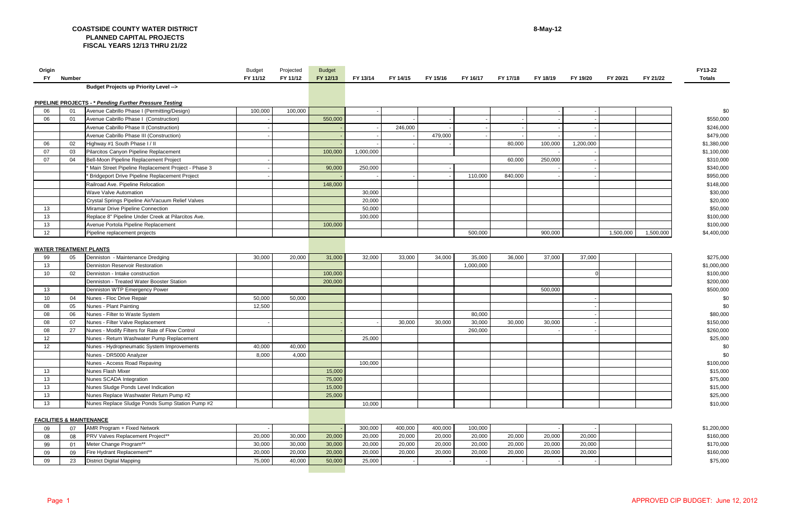## Page 1 APPROVED CIP BUDGET: June 12, 2012

| Origin |        |                                                               | Budget   | Projected | <b>Budget</b> |           |          |          |           |          |          |           |           |           | <b>FY13-22</b> |
|--------|--------|---------------------------------------------------------------|----------|-----------|---------------|-----------|----------|----------|-----------|----------|----------|-----------|-----------|-----------|----------------|
| FY .   | Number |                                                               | FY 11/12 | FY 11/12  | FY 12/13      | FY 13/14  | FY 14/15 | FY 15/16 | FY 16/17  | FY 17/18 | FY 18/19 | FY 19/20  | FY 20/21  | FY 21/22  | <b>Totals</b>  |
|        |        | Budget Projects up Priority Level -->                         |          |           |               |           |          |          |           |          |          |           |           |           |                |
|        |        |                                                               |          |           |               |           |          |          |           |          |          |           |           |           |                |
|        |        | <b>PIPELINE PROJECTS - * Pending Further Pressure Testing</b> |          |           |               |           |          |          |           |          |          |           |           |           |                |
| 06     | 01     | Avenue Cabrillo Phase I (Permitting/Design)                   | 100,000  | 100,000   |               |           |          |          |           |          |          |           |           |           | \$0            |
| 06     | 01     | Avenue Cabrillo Phase I (Construction)                        |          |           | 550,000       |           |          |          |           |          |          |           |           |           | \$550,000      |
|        |        | Avenue Cabrillo Phase II (Construction)                       |          |           |               |           | 246,000  |          |           |          |          |           |           |           | \$246,000      |
|        |        | Avenue Cabrillo Phase III (Construction)                      |          |           |               |           |          | 479,000  |           |          |          |           |           |           | \$479,000      |
| 06     | 02     | Highway #1 South Phase I / II                                 |          |           |               |           |          |          |           | 80,000   | 100,000  | 1,200,000 |           |           | \$1,380,000    |
| 07     | 03     | Pilarcitos Canyon Pipeline Replacement                        |          |           | 100,000       | 1,000,000 |          |          |           |          |          |           |           |           | \$1,100,000    |
| 07     | 04     | Bell-Moon Pipeline Replacement Project                        |          |           |               |           |          |          |           | 60,000   | 250,000  |           |           |           | \$310,000      |
|        |        | Main Street Pipeline Replacement Project - Phase 3            |          |           | 90,000        | 250,000   |          |          |           |          |          |           |           |           | \$340,000      |
|        |        | Bridgeport Drive Pipeline Replacement Project                 |          |           |               |           |          |          | 110,000   | 840,000  |          |           |           |           | \$950,000      |
|        |        | Railroad Ave. Pipeline Relocation                             |          |           | 148,000       |           |          |          |           |          |          |           |           |           | \$148,000      |
|        |        | Wave Valve Automation                                         |          |           |               | 30,000    |          |          |           |          |          |           |           |           | \$30,000       |
|        |        | Crystal Springs Pipeline Air/Vacuum Relief Valves             |          |           |               | 20,000    |          |          |           |          |          |           |           |           | \$20,000       |
| 13     |        | Miramar Drive Pipeline Connection                             |          |           |               | 50,000    |          |          |           |          |          |           |           |           | \$50,000       |
| 13     |        | Replace 8" Pipeline Under Creek at Pilarcitos Ave.            |          |           |               | 100,000   |          |          |           |          |          |           |           |           | \$100,000      |
| 13     |        | Avenue Portola Pipeline Replacement                           |          |           | 100,000       |           |          |          |           |          |          |           |           |           | \$100,000      |
| 12     |        | Pipeline replacement projects                                 |          |           |               |           |          |          | 500,000   |          | 900,000  |           | 1,500,000 | 1,500,000 | \$4,400,000    |
|        |        |                                                               |          |           |               |           |          |          |           |          |          |           |           |           |                |
|        |        | <b>WATER TREATMENT PLANTS</b>                                 |          |           |               |           |          |          |           |          |          |           |           |           |                |
| 99     | 05     | Denniston - Maintenance Dredging                              | 30,000   | 20,000    | 31,000        | 32,000    | 33,000   | 34,000   | 35,000    | 36,000   | 37,000   | 37,000    |           |           | \$275,000      |
| 13     |        | Denniston Reservoir Restoration                               |          |           |               |           |          |          | 1,000,000 |          |          |           |           |           | \$1,000,000    |
| 10     | 02     | Denniston - Intake construction                               |          |           | 100,000       |           |          |          |           |          |          |           |           |           | \$100,000      |
|        |        | Denniston - Treated Water Booster Station                     |          |           |               |           |          |          |           |          |          |           |           |           | \$200,000      |
|        |        |                                                               |          |           | 200,000       |           |          |          |           |          | 500,000  |           |           |           |                |
| 13     |        | Denniston WTP Emergency Power                                 |          |           |               |           |          |          |           |          |          |           |           |           | \$500,000      |
| 10     | 04     | Nunes - Floc Drive Repair                                     | 50,000   | 50,000    |               |           |          |          |           |          |          |           |           |           | \$0            |
| 08     | 05     | Nunes - Plant Painting                                        | 12,500   |           |               |           |          |          |           |          |          |           |           |           | \$0            |
| 08     | 06     | Nunes - Filter to Waste System                                |          |           |               |           |          |          | 80,000    |          |          |           |           |           | \$80,000       |
| 08     | 07     | Nunes - Filter Valve Replacement                              |          |           |               |           | 30,000   | 30,000   | 30,000    | 30,000   | 30,000   |           |           |           | \$150,000      |
| 08     | 27     | Nunes - Modify Filters for Rate of Flow Control               |          |           |               |           |          |          | 260,000   |          |          |           |           |           | \$260,000      |
| 12     |        | Nunes - Return Washwater Pump Replacement                     |          |           |               | 25,000    |          |          |           |          |          |           |           |           | \$25,000       |
| 12     |        | Nunes - Hydropneumatic System Improvements                    | 40,000   | 40,000    |               |           |          |          |           |          |          |           |           |           | \$0            |
|        |        | Nunes - DR5000 Analyzer                                       | 8,000    | 4,000     |               |           |          |          |           |          |          |           |           |           | \$0            |
|        |        | Nunes - Access Road Repaving                                  |          |           |               | 100,000   |          |          |           |          |          |           |           |           | \$100,000      |
| 13     |        | Nunes Flash Mixer                                             |          |           | 15,000        |           |          |          |           |          |          |           |           |           | \$15,000       |
| 13     |        | Nunes SCADA Integration                                       |          |           | 75,000        |           |          |          |           |          |          |           |           |           | \$75,000       |
| 13     |        | Nunes Sludge Ponds Level Indication                           |          |           | 15,000        |           |          |          |           |          |          |           |           |           | \$15,000       |
| 13     |        | Nunes Replace Washwater Return Pump #2                        |          |           | 25,000        |           |          |          |           |          |          |           |           |           | \$25,000       |
| 13     |        | Nunes Replace Sludge Ponds Sump Station Pump #2               |          |           |               | 10,000    |          |          |           |          |          |           |           |           | \$10,000       |
|        |        |                                                               |          |           |               |           |          |          |           |          |          |           |           |           |                |
|        |        | <b>FACILITIES &amp; MAINTENANCE</b>                           |          |           |               |           |          |          |           |          |          |           |           |           |                |
| 09     | 07     | AMR Program + Fixed Network                                   |          |           |               | 300,000   | 400,000  | 400,000  | 100,000   |          |          |           |           |           | \$1,200,000    |
| 08     | 08     | PRV Valves Replacement Project**                              | 20,000   | 30,000    | 20,000        | 20,000    | 20,000   | 20,000   | 20,000    | 20,000   | 20,000   | 20,000    |           |           | \$160,000      |
| 99     | 01     | Meter Change Program**                                        | 30,000   | 30,000    | 30,000        | 20,000    | 20,000   | 20,000   | 20,000    | 20,000   | 20,000   | 20,000    |           |           | \$170,000      |
| 09     | 09     | Fire Hydrant Replacement**                                    | 20,000   | 20,000    | 20,000        | 20,000    | 20,000   | 20,000   | 20,000    | 20,000   | 20,000   | 20,000    |           |           | \$160,000      |
| 09     | 23     | <b>District Digital Mapping</b>                               | 75,000   | 40,000    | 50,000        | 25,000    |          |          |           |          |          |           |           |           | \$75,000       |
|        |        |                                                               |          |           |               |           |          |          |           |          |          |           |           |           |                |

## **COASTSIDE COUNTY WATER DISTRICT PLANNED CAPITAL PROJECTS FISCAL YEARS 12/13 THRU 21/22**